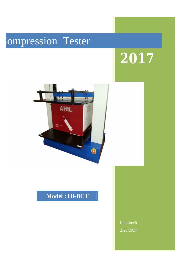# **Compression Tester**

# **2017**



## **Model : Hi-BCT**

Labhitech 2/20/2017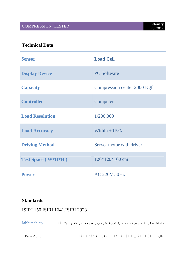COMPRESSION TESTER

#### **Technical Data**

| <b>Sensor</b>             | <b>Load Cell</b>            |
|---------------------------|-----------------------------|
| <b>Display Device</b>     | <b>PC Software</b>          |
| <b>Capacity</b>           | Compression center 2000 Kgf |
| <b>Controller</b>         | Computer                    |
| <b>Load Resolution</b>    | 1/200,000                   |
| <b>Load Accuracy</b>      | Within $\pm 0.5\%$          |
| <b>Driving Method</b>     | Servo motor with driver     |
| <b>Test Space</b> (W*D*H) | $120*120*100$ cm            |
| <b>Power</b>              | <b>AC 220V 50Hz</b>         |

#### **Standards**

#### ISIRI 150,ISIRI 1641,ISIRI 2923

شاد آباد خیابان 17 شهریور نرسیده به بازار آهن خیابان عزیزي مجتمع صنعتی واحدي پلاك 69 co.labhitech